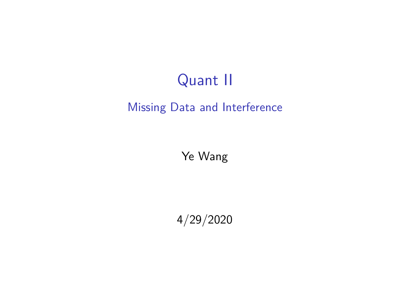## Quant II

#### Missing Data and Interference

Ye Wang

4/29/2020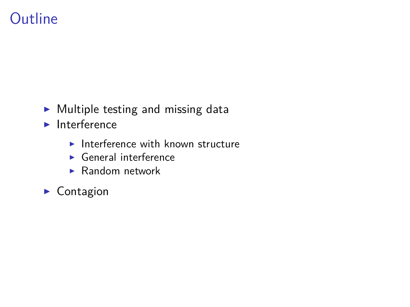## **Outline**

- $\blacktriangleright$  Multiple testing and missing data
- $\blacktriangleright$  Interference
	- Interference with known structure
	- $\blacktriangleright$  General interference
	- $\blacktriangleright$  Random network
- $\blacktriangleright$  Contagion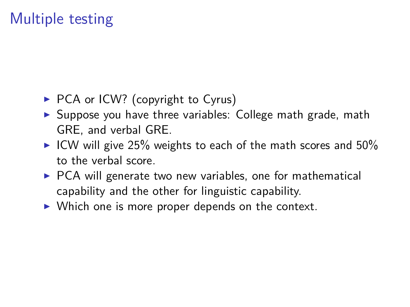# Multiple testing

- $\triangleright$  PCA or ICW? (copyright to Cyrus)
- $\triangleright$  Suppose you have three variables: College math grade, math GRE, and verbal GRE.
- ICW will give 25% weights to each of the math scores and  $50\%$ to the verbal score.
- $\triangleright$  PCA will generate two new variables, one for mathematical capability and the other for linguistic capability.
- $\triangleright$  Which one is more proper depends on the context.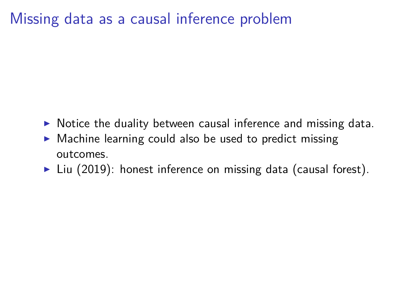#### Missing data as a causal inference problem

- $\triangleright$  Notice the duality between causal inference and missing data.
- $\triangleright$  Machine learning could also be used to predict missing outcomes.
- $\blacktriangleright$  Liu (2019): honest inference on missing data (causal forest).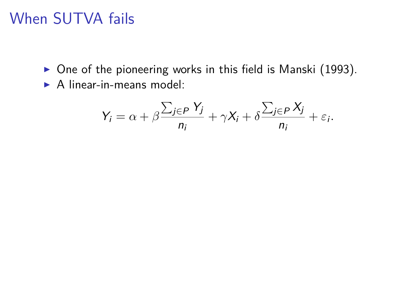- $\triangleright$  One of the pioneering works in this field is Manski (1993).
- $\triangleright$  A linear-in-means model:

$$
Y_i = \alpha + \beta \frac{\sum_{j \in P} Y_j}{n_i} + \gamma X_i + \delta \frac{\sum_{j \in P} X_j}{n_i} + \varepsilon_i.
$$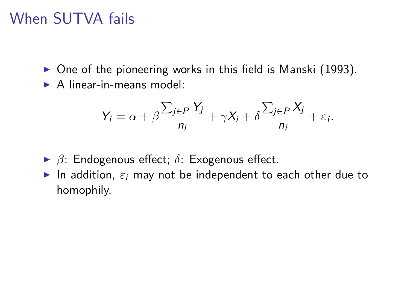- $\triangleright$  One of the pioneering works in this field is Manski (1993).
- $\triangleright$  A linear-in-means model:

$$
Y_i = \alpha + \beta \frac{\sum_{j \in P} Y_j}{n_i} + \gamma X_i + \delta \frac{\sum_{j \in P} X_j}{n_i} + \varepsilon_i.
$$

- <sup>I</sup> *β*: Endogenous effect; *δ*: Exogenous effect.
- In addition,  $\varepsilon_i$  may not be independent to each other due to homophily.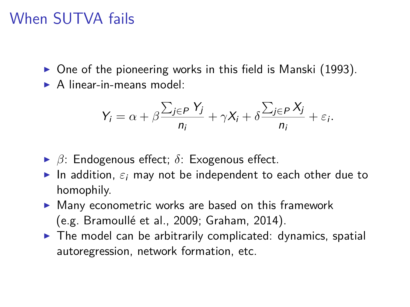- $\triangleright$  One of the pioneering works in this field is Manski (1993).
- $\triangleright$  A linear-in-means model:

$$
Y_i = \alpha + \beta \frac{\sum_{j \in P} Y_j}{n_i} + \gamma X_i + \delta \frac{\sum_{j \in P} X_j}{n_i} + \varepsilon_i.
$$

- <sup>I</sup> *β*: Endogenous effect; *δ*: Exogenous effect.
- In addition,  $\varepsilon_i$  may not be independent to each other due to homophily.
- $\blacktriangleright$  Many econometric works are based on this framework (e.g. Bramoullé et al., 2009; Graham, 2014).
- $\triangleright$  The model can be arbitrarily complicated: dynamics, spatial autoregression, network formation, etc.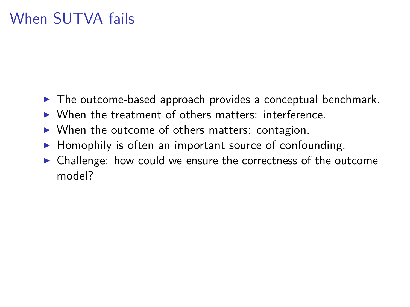- $\blacktriangleright$  The outcome-based approach provides a conceptual benchmark.
- $\triangleright$  When the treatment of others matters: interference.
- $\triangleright$  When the outcome of others matters: contagion.
- $\blacktriangleright$  Homophily is often an important source of confounding.
- $\triangleright$  Challenge: how could we ensure the correctness of the outcome model?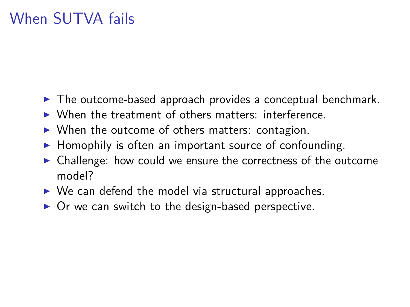- $\blacktriangleright$  The outcome-based approach provides a conceptual benchmark.
- $\triangleright$  When the treatment of others matters: interference.
- $\triangleright$  When the outcome of others matters: contagion.
- $\blacktriangleright$  Homophily is often an important source of confounding.
- $\triangleright$  Challenge: how could we ensure the correctness of the outcome model?
- $\triangleright$  We can defend the model via structural approaches.
- $\triangleright$  Or we can switch to the design-based perspective.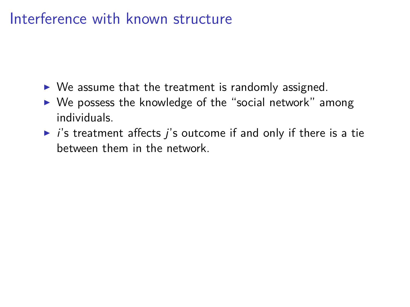- $\triangleright$  We assume that the treatment is randomly assigned.
- $\triangleright$  We possess the knowledge of the "social network" among individuals.
- $\triangleright$  *i*'s treatment affects *i*'s outcome if and only if there is a tie between them in the network.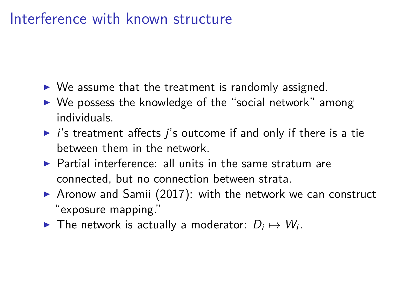- $\triangleright$  We assume that the treatment is randomly assigned.
- $\triangleright$  We possess the knowledge of the "social network" among individuals.
- $\triangleright$  *i*'s treatment affects *i*'s outcome if and only if there is a tie between them in the network.
- $\triangleright$  Partial interference: all units in the same stratum are connected, but no connection between strata.
- $\triangleright$  Aronow and Samii (2017): with the network we can construct "exposure mapping."
- ▶ The network is actually a moderator:  $D_i \mapsto W_i$ .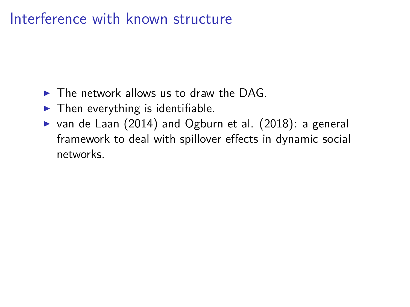- $\triangleright$  The network allows us to draw the DAG.
- $\blacktriangleright$  Then everything is identifiable.
- $\triangleright$  van de Laan (2014) and Ogburn et al. (2018): a general framework to deal with spillover effects in dynamic social networks.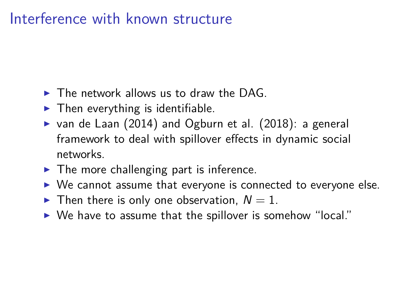- $\triangleright$  The network allows us to draw the DAG.
- $\blacktriangleright$  Then everything is identifiable.
- $\triangleright$  van de Laan (2014) and Ogburn et al. (2018): a general framework to deal with spillover effects in dynamic social networks.
- $\blacktriangleright$  The more challenging part is inference.
- $\triangleright$  We cannot assume that everyone is connected to everyone else.
- $\blacktriangleright$  Then there is only one observation,  $N = 1$ .
- $\triangleright$  We have to assume that the spillover is somehow "local."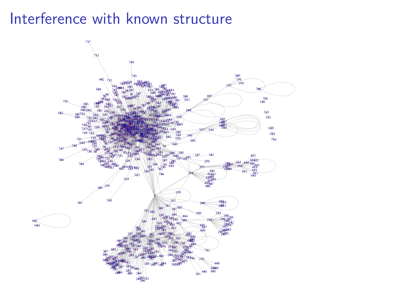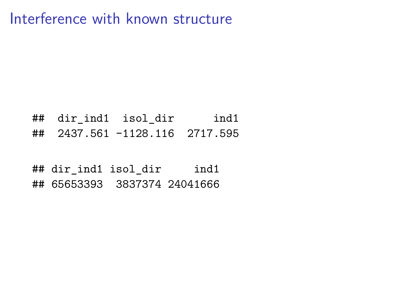## dir\_ind1 isol\_dir ind1 ## 2437.561 -1128.116 2717.595

## dir\_ind1 isol\_dir ind1 ## 65653393 3837374 24041666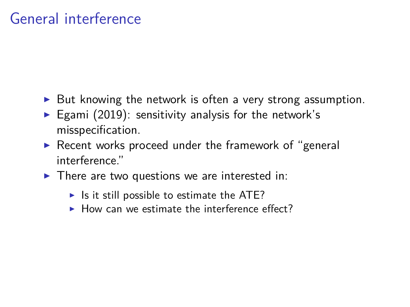- $\triangleright$  But knowing the network is often a very strong assumption.
- Egami (2019): sensitivity analysis for the network's misspecification.
- $\triangleright$  Recent works proceed under the framework of "general interference."
- $\blacktriangleright$  There are two questions we are interested in:
	- $\blacktriangleright$  Is it still possible to estimate the ATE?
	- $\blacktriangleright$  How can we estimate the interference effect?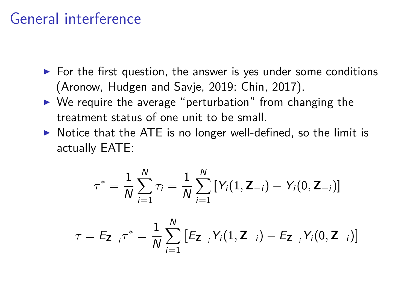- $\triangleright$  For the first question, the answer is yes under some conditions (Aronow, Hudgen and Savje, 2019; Chin, 2017).
- $\triangleright$  We require the average "perturbation" from changing the treatment status of one unit to be small.
- $\triangleright$  Notice that the ATE is no longer well-defined, so the limit is actually EATE:

$$
\tau^* = \frac{1}{N} \sum_{i=1}^N \tau_i = \frac{1}{N} \sum_{i=1}^N \left[ Y_i(1, \mathbf{Z}_{-i}) - Y_i(0, \mathbf{Z}_{-i}) \right]
$$

 $\tau = \mathsf{E}_{\mathsf{Z}_{-i}} \tau^* = \frac{1}{\Lambda_i}$ N  $\sum$ N  $i=1$  $[E_{\mathbf{Z}_{-i}}Y_i(1, \mathbf{Z}_{-i}) - E_{\mathbf{Z}_{-i}}Y_i(0, \mathbf{Z}_{-i})]$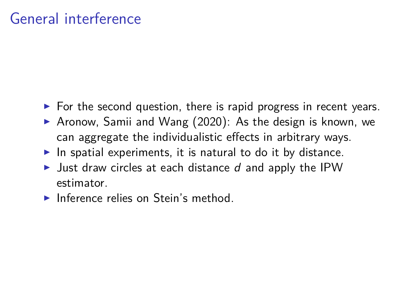- $\triangleright$  For the second question, there is rapid progress in recent years.
- Aronow, Samii and Wang  $(2020)$ : As the design is known, we can aggregate the individualistic effects in arbitrary ways.
- In spatial experiments, it is natural to do it by distance.
- I Just draw circles at each distance d and apply the IPW estimator.
- $\blacktriangleright$  Inference relies on Stein's method.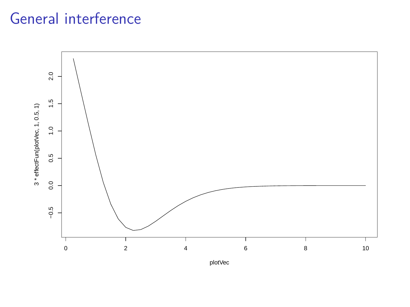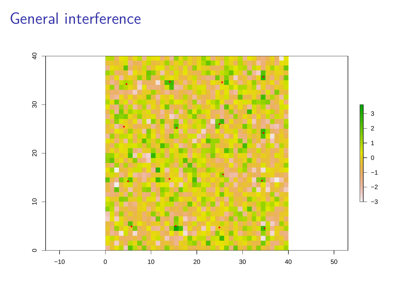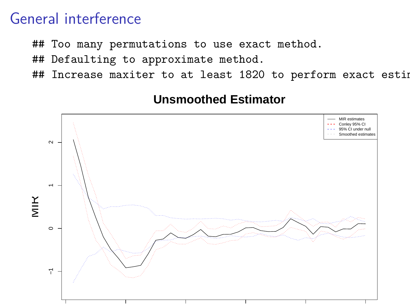- ## Too many permutations to use exact method.
- ## Defaulting to approximate method.
- ## Increase maxiter to at least 1820 to perform exact estim



#### **Unsmoothed Estimator**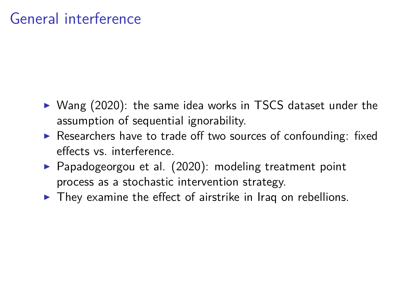- $\triangleright$  Wang (2020): the same idea works in TSCS dataset under the assumption of sequential ignorability.
- $\triangleright$  Researchers have to trade off two sources of confounding: fixed effects vs. interference.
- $\triangleright$  Papadogeorgou et al. (2020): modeling treatment point process as a stochastic intervention strategy.
- $\blacktriangleright$  They examine the effect of airstrike in Iraq on rebellions.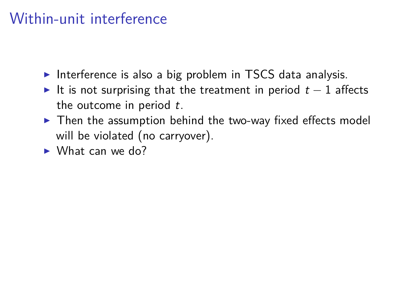## Within-unit interference

- Interference is also a big problem in TSCS data analysis.
- It is not surprising that the treatment in period  $t 1$  affects the outcome in period  $t$ .
- $\triangleright$  Then the assumption behind the two-way fixed effects model will be violated (no carryover).
- $\triangleright$  What can we do?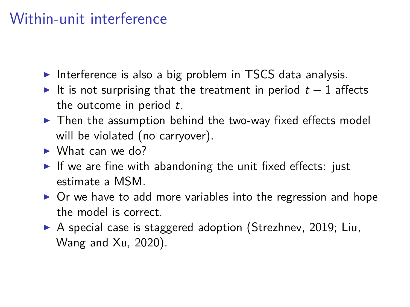## Within-unit interference

- Interference is also a big problem in TSCS data analysis.
- It is not surprising that the treatment in period  $t 1$  affects the outcome in period  $t$ .
- $\triangleright$  Then the assumption behind the two-way fixed effects model will be violated (no carryover).
- $\triangleright$  What can we do?
- If we are fine with abandoning the unit fixed effects: just estimate a MSM.
- $\triangleright$  Or we have to add more variables into the regression and hope the model is correct.
- ▶ A special case is staggered adoption (Strezhnev, 2019; Liu, Wang and Xu, 2020).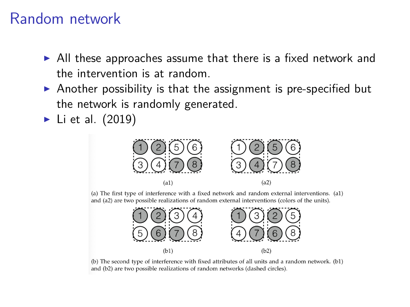- $\triangleright$  All these approaches assume that there is a fixed network and the intervention is at random.
- $\triangleright$  Another possibility is that the assignment is pre-specified but the network is randomly generated.
- $\blacktriangleright$  Li et al. (2019)



(a) The first type of interference with a fixed network and random external interventions. (a1) and (a2) are two possible realizations of random external interventions (colors of the units).



(b) The second type of interference with fixed attributes of all units and a random network. (b1) and (b2) are two possible realizations of random networks (dashed circles).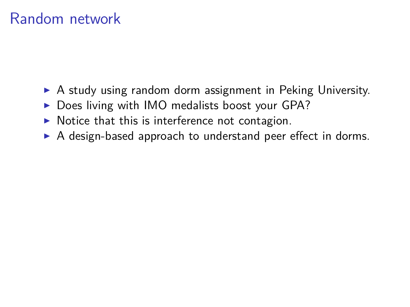- $\triangleright$  A study using random dorm assignment in Peking University.
- $\triangleright$  Does living with IMO medalists boost your GPA?
- $\triangleright$  Notice that this is interference not contagion.
- $\triangleright$  A design-based approach to understand peer effect in dorms.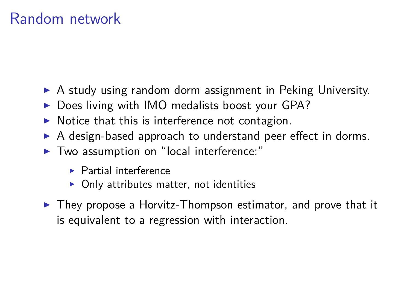- $\triangleright$  A study using random dorm assignment in Peking University.
- $\triangleright$  Does living with IMO medalists boost your GPA?
- $\triangleright$  Notice that this is interference not contagion.
- $\triangleright$  A design-based approach to understand peer effect in dorms.
- $\blacktriangleright$  Two assumption on "local interference:"
	- $\blacktriangleright$  Partial interference
	- $\triangleright$  Only attributes matter, not identities
- $\triangleright$  They propose a Horvitz-Thompson estimator, and prove that it is equivalent to a regression with interaction.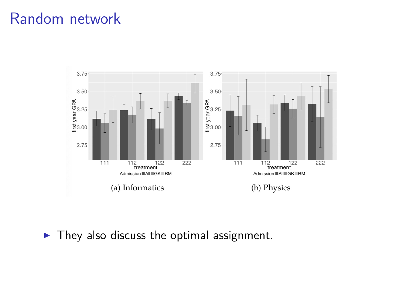

 $\blacktriangleright$  They also discuss the optimal assignment.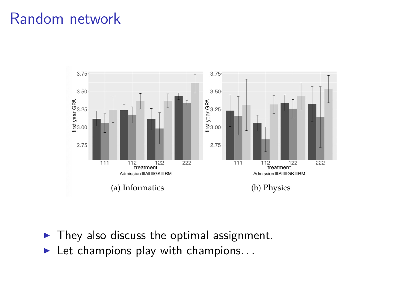

- $\blacktriangleright$  They also discuss the optimal assignment.
- $\blacktriangleright$  Let champions play with champions...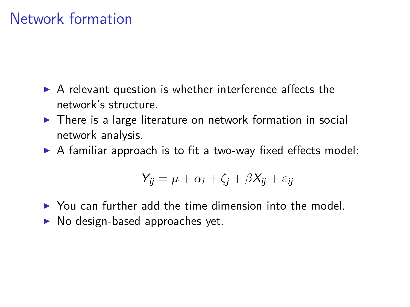#### Network formation

- $\triangleright$  A relevant question is whether interference affects the network's structure.
- $\triangleright$  There is a large literature on network formation in social network analysis.
- $\triangleright$  A familiar approach is to fit a two-way fixed effects model:

$$
Y_{ij} = \mu + \alpha_i + \zeta_j + \beta X_{ij} + \varepsilon_{ij}
$$

- $\triangleright$  You can further add the time dimension into the model.
- $\blacktriangleright$  No design-based approaches yet.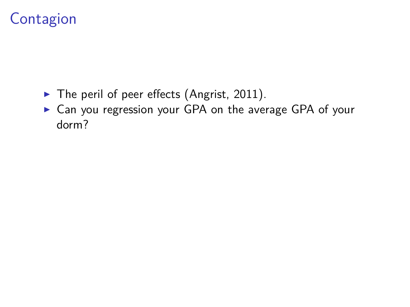- $\blacktriangleright$  The peril of peer effects (Angrist, 2011).
- ▶ Can you regression your GPA on the average GPA of your dorm?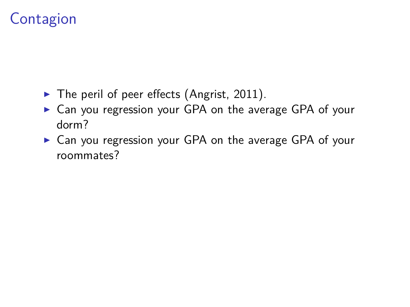- $\blacktriangleright$  The peril of peer effects (Angrist, 2011).
- $\triangleright$  Can you regression your GPA on the average GPA of your dorm?
- $\triangleright$  Can you regression your GPA on the average GPA of your roommates?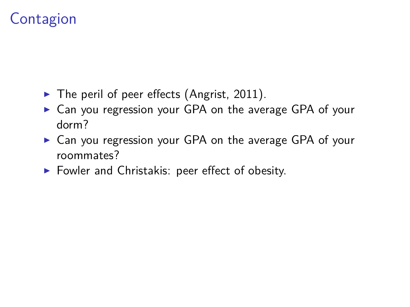- $\blacktriangleright$  The peril of peer effects (Angrist, 2011).
- $\triangleright$  Can you regression your GPA on the average GPA of your dorm?
- $\triangleright$  Can you regression your GPA on the average GPA of your roommates?
- $\blacktriangleright$  Fowler and Christakis: peer effect of obesity.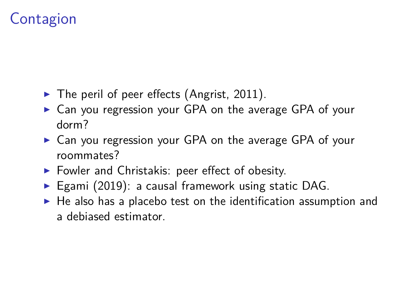- $\blacktriangleright$  The peril of peer effects (Angrist, 2011).
- $\triangleright$  Can you regression your GPA on the average GPA of your dorm?
- $\triangleright$  Can you regression your GPA on the average GPA of your roommates?
- $\blacktriangleright$  Fowler and Christakis: peer effect of obesity.
- Egami (2019): a causal framework using static DAG.
- $\blacktriangleright$  He also has a placebo test on the identification assumption and a debiased estimator.